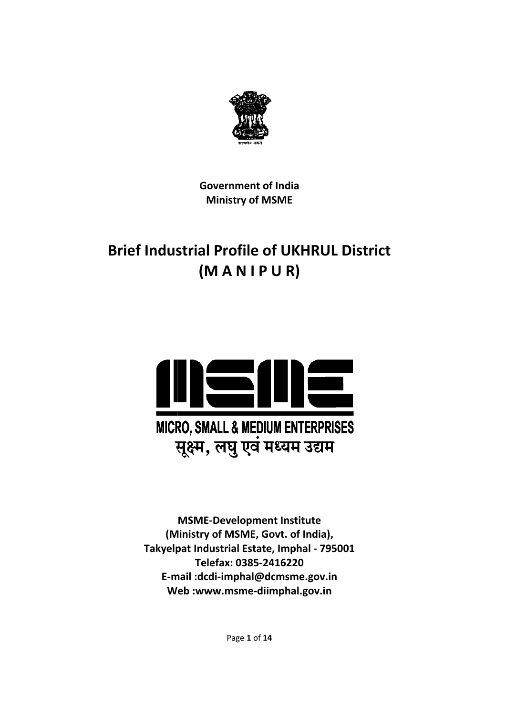

**Gove ernment o of India Ministry of MSME** 

# **Brief Industrial Profile of UKHRUL District (M A N I P U R)**



**(M Ministry of MSME, G Govt. of In ndia), Takyelp pat Indust trial Estate e, Imphal ‐ 795001 E‐m mail :dcdi‐i imphal@d dcmsme.g gov.in W eb :www. .msme‐di imphal.go ov.in MSME‐De evelopme ent Institu te Telefa ax: 0385‐2 2416220**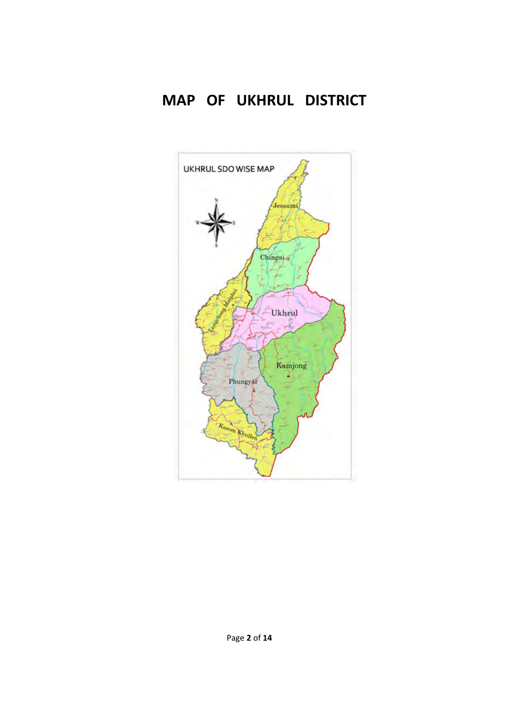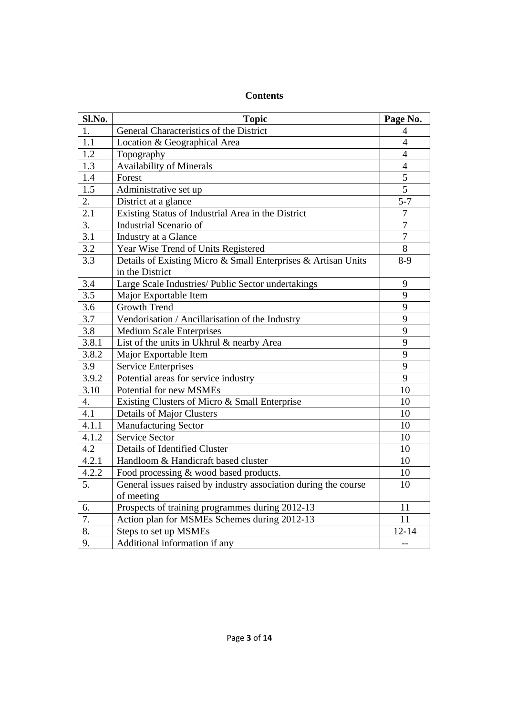| Sl.No.           | <b>Topic</b>                                                                     | Page No.       |
|------------------|----------------------------------------------------------------------------------|----------------|
| 1.               | General Characteristics of the District                                          | 4              |
| 1.1              | Location & Geographical Area                                                     | $\overline{4}$ |
| 1.2              | Topography                                                                       | 4              |
| 1.3              | Availability of Minerals                                                         | $\overline{4}$ |
| $1.4\,$          | Forest                                                                           | 5              |
| 1.5              | Administrative set up                                                            | 5              |
| 2.               | District at a glance                                                             | $5 - 7$        |
| 2.1              | Existing Status of Industrial Area in the District                               | $\overline{7}$ |
| 3.               | <b>Industrial Scenario of</b>                                                    | $\overline{7}$ |
| 3.1              | Industry at a Glance                                                             | $\overline{7}$ |
| 3.2              | Year Wise Trend of Units Registered                                              | 8              |
| 3.3              | Details of Existing Micro & Small Enterprises & Artisan Units<br>in the District | $8-9$          |
| 3.4              | Large Scale Industries/ Public Sector undertakings                               | 9              |
| 3.5              | Major Exportable Item                                                            | 9              |
| 3.6              | <b>Growth Trend</b>                                                              | 9              |
| 3.7              | Vendorisation / Ancillarisation of the Industry                                  | 9              |
| 3.8              | <b>Medium Scale Enterprises</b>                                                  | 9              |
| 3.8.1            | List of the units in Ukhrul & nearby Area                                        | 9              |
| 3.8.2            | Major Exportable Item                                                            | 9              |
| 3.9              | <b>Service Enterprises</b>                                                       | 9              |
| 3.9.2            | Potential areas for service industry                                             | 9              |
| 3.10             | Potential for new MSMEs                                                          | 10             |
| 4.               | Existing Clusters of Micro & Small Enterprise                                    | 10             |
| 4.1              | <b>Details of Major Clusters</b>                                                 | 10             |
| 4.1.1            | <b>Manufacturing Sector</b>                                                      | 10             |
| 4.1.2            | <b>Service Sector</b>                                                            | 10             |
| 4.2              | Details of Identified Cluster                                                    | 10             |
| 4.2.1            | Handloom & Handicraft based cluster                                              | 10             |
| 4.2.2            | Food processing & wood based products.                                           | 10             |
| $\overline{5}$ . | General issues raised by industry association during the course                  | 10             |
|                  | of meeting                                                                       |                |
| 6.               | Prospects of training programmes during 2012-13                                  | 11             |
| 7.               | Action plan for MSMEs Schemes during 2012-13                                     | 11             |
| 8.               | Steps to set up MSMEs                                                            | $12 - 14$      |
| 9.               | Additional information if any                                                    | --             |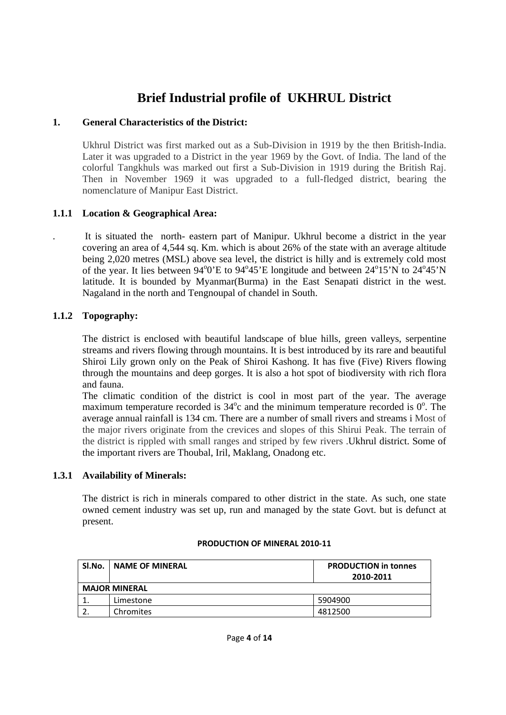## **Brief Industrial profile of UKHRUL District**

## **1. General Characteristics of the District:**

Ukhrul District was first marked out as a Sub-Division in 1919 by the then British-India. Later it was upgraded to a District in the year 1969 by the Govt. of India. The land of the colorful Tangkhuls was marked out first a Sub-Division in 1919 during the British Raj. Then in November 1969 it was upgraded to a full-fledged district, bearing the nomenclature of Manipur East District.

## **1.1.1 Location & Geographical Area:**

. It is situated the north- eastern part of Manipur. Ukhrul become a district in the year covering an area of 4,544 sq. Km. which is about 26% of the state with an average altitude being 2,020 metres (MSL) above sea level, the district is hilly and is extremely cold most of the year. It lies between  $94^{\circ}0'E$  to  $94^{\circ}45'E$  longitude and between  $24^{\circ}15'N$  to  $24^{\circ}45'N$ latitude. It is bounded by Myanmar(Burma) in the East Senapati district in the west. Nagaland in the north and Tengnoupal of chandel in South.

## **1.1.2 Topography:**

The district is enclosed with beautiful landscape of blue hills, green valleys, serpentine streams and rivers flowing through mountains. It is best introduced by its rare and beautiful Shiroi Lily grown only on the Peak of Shiroi Kashong. It has five (Five) Rivers flowing through the mountains and deep gorges. It is also a hot spot of biodiversity with rich flora and fauna.

The climatic condition of the district is cool in most part of the year. The average maximum temperature recorded is  $34^{\circ}$ c and the minimum temperature recorded is  $0^{\circ}$ . The average annual rainfall is 134 cm. There are a number of small rivers and streams i Most of the major rivers originate from the crevices and slopes of this Shirui Peak. The terrain of the district is rippled with small ranges and striped by few rivers .Ukhrul district. Some of the important rivers are Thoubal, Iril, Maklang, Onadong etc.

## **1.3.1 Availability of Minerals:**

The district is rich in minerals compared to other district in the state. As such, one state owned cement industry was set up, run and managed by the state Govt. but is defunct at present.

| Sl.No. | <b>NAME OF MINERAL</b> | <b>PRODUCTION in tonnes</b><br>2010-2011 |
|--------|------------------------|------------------------------------------|
|        | <b>MAJOR MINERAL</b>   |                                          |
|        |                        |                                          |
|        | Limestone              | 5904900                                  |
|        | Chromites              | 4812500                                  |

#### **PRODUCTION OF MINERAL 2010‐11**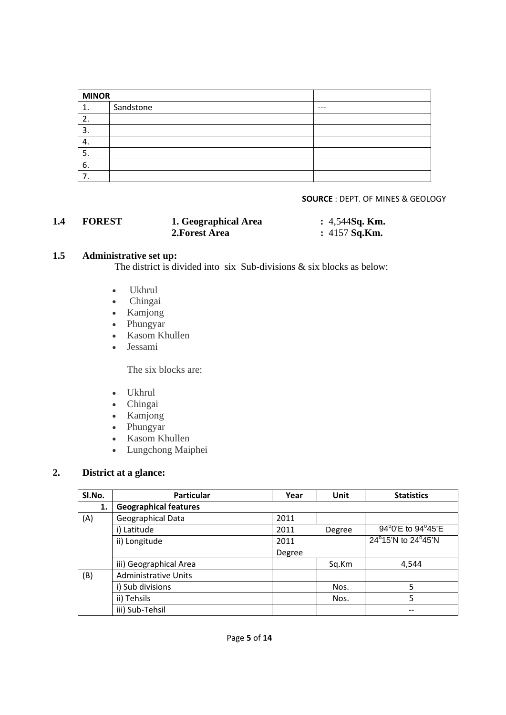| <b>MINOR</b> |           |       |
|--------------|-----------|-------|
| 1.           | Sandstone | $---$ |
| 2.           |           |       |
| 3.           |           |       |
| 4.           |           |       |
| 5.           |           |       |
| 6.           |           |       |
| 7.           |           |       |

#### **SOURCE** : DEPT. OF MINES & GEOLOGY

| 1.4 | <b>FOREST</b> | 1. Geographical Area | $: 4,544$ Sq. Km. |
|-----|---------------|----------------------|-------------------|
|     |               | 2. Forest Area       | : $4157$ Sq.Km.   |

## **1.5 Administrative set up:**

The district is divided into six Sub-divisions & six blocks as below:

- Ukhrul
- Chingai
- Kamjong
- Phungyar
- Kasom Khullen
- Jessami

The six blocks are:

- Ukhrul
- Chingai
- Kamjong
- Phungyar
- Kasom Khullen
- Lungchong Maiphei

## **2. District at a glance:**

| SI.No. | <b>Particular</b>            | Year   | Unit   | <b>Statistics</b>  |
|--------|------------------------------|--------|--------|--------------------|
| 1.     | <b>Geographical features</b> |        |        |                    |
| (A)    | Geographical Data            | 2011   |        |                    |
|        | i) Latitude                  | 2011   | Degree | 94°0'E to 94°45'E  |
|        | ii) Longitude                | 2011   |        | 24°15'N to 24°45'N |
|        |                              | Degree |        |                    |
|        | iii) Geographical Area       |        | Sq.Km  | 4,544              |
| (B)    | <b>Administrative Units</b>  |        |        |                    |
|        | i) Sub divisions             |        | Nos.   | 5                  |
|        | ii) Tehsils                  |        | Nos.   | 5                  |
|        | iii) Sub-Tehsil              |        |        |                    |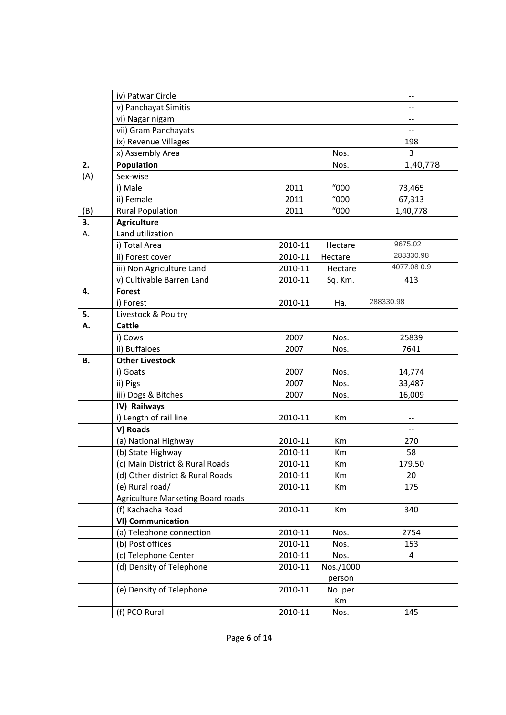|     | iv) Patwar Circle                 |         |                      | --                       |
|-----|-----------------------------------|---------|----------------------|--------------------------|
|     | v) Panchayat Simitis              |         |                      |                          |
|     | vi) Nagar nigam                   |         |                      | --                       |
|     | vii) Gram Panchayats              |         |                      | $\overline{\phantom{a}}$ |
|     | ix) Revenue Villages              |         |                      | 198                      |
|     | x) Assembly Area                  |         | Nos.                 | 3                        |
| 2.  | Population                        |         | Nos.                 | 1,40,778                 |
| (A) | Sex-wise                          |         |                      |                          |
|     | i) Male                           | 2011    | $^{\prime\prime}000$ | 73,465                   |
|     | ii) Female                        | 2011    | 1000                 | 67,313                   |
| (B) | <b>Rural Population</b>           | 2011    | "000                 | 1,40,778                 |
| 3.  | <b>Agriculture</b>                |         |                      |                          |
| А.  | Land utilization                  |         |                      |                          |
|     | i) Total Area                     | 2010-11 | Hectare              | 9675.02                  |
|     | ii) Forest cover                  | 2010-11 | Hectare              | 288330.98                |
|     | iii) Non Agriculture Land         | 2010-11 | Hectare              | 4077.08 0.9              |
|     | v) Cultivable Barren Land         | 2010-11 | Sq. Km.              | 413                      |
| 4.  | <b>Forest</b>                     |         |                      |                          |
|     | i) Forest                         | 2010-11 | Ha.                  | 288330.98                |
| 5.  | Livestock & Poultry               |         |                      |                          |
| А.  | <b>Cattle</b>                     |         |                      |                          |
|     | i) Cows                           | 2007    | Nos.                 | 25839                    |
|     | ii) Buffaloes                     | 2007    | Nos.                 | 7641                     |
| В.  | <b>Other Livestock</b>            |         |                      |                          |
|     | i) Goats                          | 2007    | Nos.                 | 14,774                   |
|     | ii) Pigs                          | 2007    | Nos.                 | 33,487                   |
|     | iii) Dogs & Bitches               | 2007    | Nos.                 | 16,009                   |
|     | IV) Railways                      |         |                      |                          |
|     | i) Length of rail line            | 2010-11 | Km                   | $-$                      |
|     | V) Roads                          |         |                      | $\overline{\phantom{a}}$ |
|     | (a) National Highway              | 2010-11 | Km                   | 270                      |
|     | (b) State Highway                 | 2010-11 | Km                   | 58                       |
|     | (c) Main District & Rural Roads   | 2010-11 | Km                   | 179.50                   |
|     | (d) Other district & Rural Roads  | 2010-11 | Km                   | 20                       |
|     | (e) Rural road/                   | 2010-11 | Km                   | 175                      |
|     | Agriculture Marketing Board roads |         |                      |                          |
|     | (f) Kachacha Road                 | 2010-11 | Km                   | 340                      |
|     | <b>VI) Communication</b>          |         |                      |                          |
|     | (a) Telephone connection          | 2010-11 | Nos.                 | 2754                     |
|     | (b) Post offices                  | 2010-11 | Nos.                 | 153                      |
|     | (c) Telephone Center              | 2010-11 | Nos.                 | 4                        |
|     | (d) Density of Telephone          | 2010-11 | Nos./1000            |                          |
|     |                                   |         | person               |                          |
|     | (e) Density of Telephone          | 2010-11 | No. per              |                          |
|     |                                   |         | Km                   |                          |
|     | (f) PCO Rural                     | 2010-11 | Nos.                 | 145                      |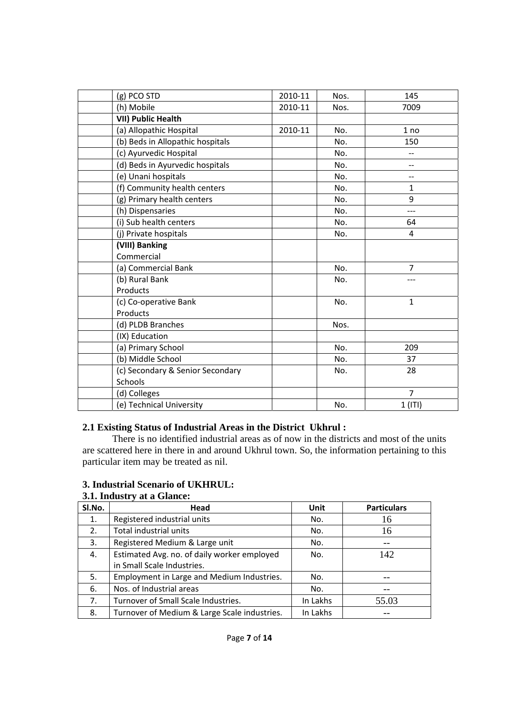| (g) PCO STD                      | 2010-11 | Nos. | 145            |
|----------------------------------|---------|------|----------------|
| (h) Mobile                       | 2010-11 | Nos. | 7009           |
| <b>VII) Public Health</b>        |         |      |                |
| (a) Allopathic Hospital          | 2010-11 | No.  | 1 no           |
| (b) Beds in Allopathic hospitals |         | No.  | 150            |
| (c) Ayurvedic Hospital           |         | No.  | $\overline{a}$ |
| (d) Beds in Ayurvedic hospitals  |         | No.  | $-$            |
| (e) Unani hospitals              |         | No.  | --             |
| (f) Community health centers     |         | No.  | $\mathbf{1}$   |
| (g) Primary health centers       |         | No.  | 9              |
| (h) Dispensaries                 |         | No.  |                |
| (i) Sub health centers           |         | No.  | 64             |
| (j) Private hospitals            |         | No.  | 4              |
| (VIII) Banking                   |         |      |                |
| Commercial                       |         |      |                |
| (a) Commercial Bank              |         | No.  | $\overline{7}$ |
| (b) Rural Bank                   |         | No.  |                |
| Products                         |         |      |                |
| (c) Co-operative Bank            |         | No.  | $\mathbf{1}$   |
| Products                         |         |      |                |
| (d) PLDB Branches                |         | Nos. |                |
| (IX) Education                   |         |      |                |
| (a) Primary School               |         | No.  | 209            |
| (b) Middle School                |         | No.  | 37             |
| (c) Secondary & Senior Secondary |         | No.  | 28             |
| <b>Schools</b>                   |         |      |                |
| (d) Colleges                     |         |      | $\overline{7}$ |
| (e) Technical University         |         | No.  | $1$ (ITI)      |

## **2.1 Existing Status of Industrial Areas in the District Ukhrul :**

There is no identified industrial areas as of now in the districts and most of the units are scattered here in there in and around Ukhrul town. So, the information pertaining to this particular item may be treated as nil.

## **3. Industrial Scenario of UKHRUL:**

| 3.1. Industry at a Glance: |  |  |
|----------------------------|--|--|
|----------------------------|--|--|

| SI.No. | Head                                         | Unit       | <b>Particulars</b> |
|--------|----------------------------------------------|------------|--------------------|
| 1.     | Registered industrial units                  | No.        | 16                 |
| 2.     | Total industrial units                       | No.        | 16                 |
| 3.     | Registered Medium & Large unit               | No.        |                    |
| 4.     | Estimated Avg. no. of daily worker employed  | 142<br>No. |                    |
|        | in Small Scale Industries.                   |            |                    |
| 5.     | Employment in Large and Medium Industries.   | No.        |                    |
| 6.     | Nos. of Industrial areas                     | No.        |                    |
| 7.     | Turnover of Small Scale Industries.          | In Lakhs   | 55.03              |
| 8.     | Turnover of Medium & Large Scale industries. | In Lakhs   |                    |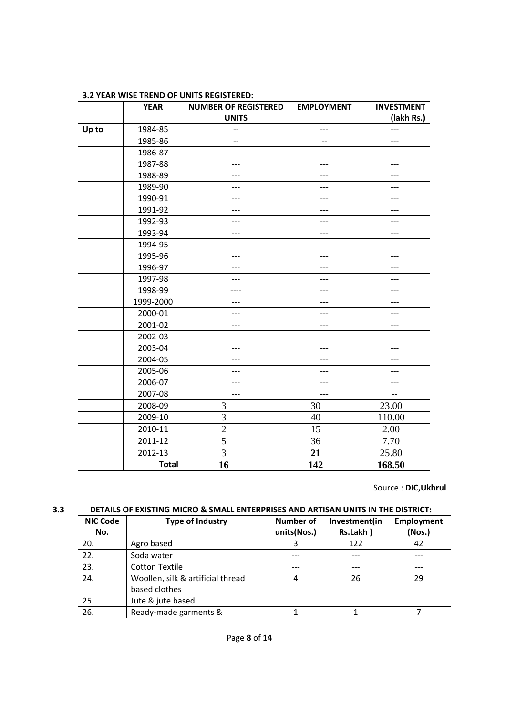|       | <b>YEAR</b>  | <b>NUMBER OF REGISTERED</b> | <b>EMPLOYMENT</b> | <b>INVESTMENT</b> |
|-------|--------------|-----------------------------|-------------------|-------------------|
|       |              | <b>UNITS</b>                |                   | (lakh Rs.)        |
| Up to | 1984-85      | --                          | ---               | ---               |
|       | 1985-86      | $-$                         | --                | ---               |
|       | 1986-87      | ---                         | ---               | ---               |
|       | 1987-88      | ---                         | ---               | ---               |
|       | 1988-89      |                             |                   |                   |
|       | 1989-90      | ---                         | ---               | ---               |
|       | 1990-91      | ---                         | ---               | ---               |
|       | 1991-92      | ---                         | ---               | ---               |
|       | 1992-93      | ---                         | ---               | ---               |
|       | 1993-94      | ---                         | ---               | ---               |
|       | 1994-95      | ---                         | ---               | ---               |
|       | 1995-96      | ---                         | ---               | ---               |
|       | 1996-97      | ---                         | ---               | ---               |
|       | 1997-98      | ---                         | ---               |                   |
|       | 1998-99      | ----                        | ---               | $---$             |
|       | 1999-2000    | ---                         | ---               | ---               |
|       | 2000-01      | ---                         | ---               | ---               |
|       | 2001-02      | ---                         | ---               | $---$             |
|       | 2002-03      | ---                         | ---               | ---               |
|       | 2003-04      | ---                         | ---               | ---               |
|       | 2004-05      | ---                         | ---               | $---$             |
|       | 2005-06      |                             | ---               |                   |
|       | 2006-07      | ---                         | ---               | $---$             |
|       | 2007-08      | ---                         | ---               | --                |
|       | 2008-09      | 3                           | 30                | 23.00             |
|       | 2009-10      | 3                           | 40                | 110.00            |
|       | 2010-11      | $\overline{c}$              | 15                | 2.00              |
|       | 2011-12      | 5                           | 36                | 7.70              |
|       | 2012-13      | 3                           | 21                | 25.80             |
|       | <b>Total</b> | 16                          | 142               | 168.50            |

#### **3.2 YEAR WISE TREND OF UNITS REGISTERED:**

Source : **DIC,Ukhrul**

#### **3.3 DETAILS OF EXISTING MICRO & SMALL ENTERPRISES AND ARTISAN UNITS IN THE DISTRICT:**

| <b>NIC Code</b><br>No. | <b>Type of Industry</b>                            | Number of<br>units(Nos.) | Investment(in<br>Rs.Lakh) | Employment<br>(Nos.) |
|------------------------|----------------------------------------------------|--------------------------|---------------------------|----------------------|
| 20.                    | Agro based                                         | 3                        | 122                       | 42                   |
| 22.                    | Soda water                                         |                          |                           |                      |
| 23.                    | <b>Cotton Textile</b>                              |                          |                           |                      |
| 24.                    | Woollen, silk & artificial thread<br>based clothes | 4                        | 26                        | 29                   |
| 25.                    | Jute & jute based                                  |                          |                           |                      |
| 26.                    | Ready-made garments &                              |                          |                           |                      |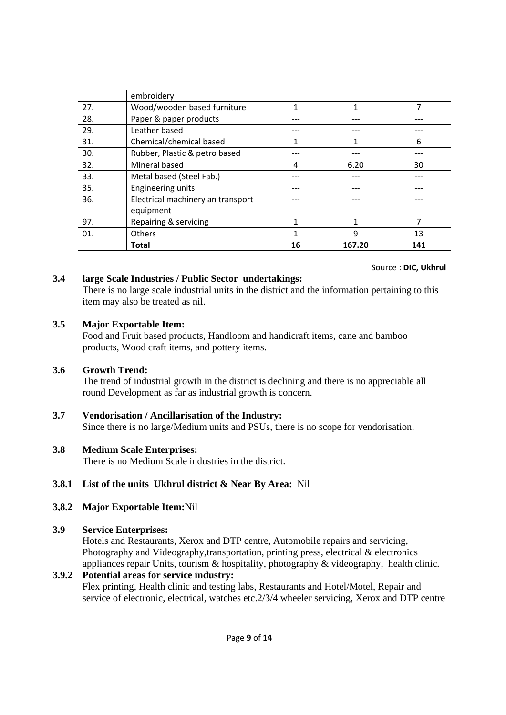|     | embroidery                        |    |        |     |
|-----|-----------------------------------|----|--------|-----|
| 27. | Wood/wooden based furniture       | 1  | 1      | 7   |
| 28. | Paper & paper products            |    |        |     |
| 29. | Leather based                     |    |        |     |
| 31. | Chemical/chemical based           |    | 1      | 6   |
| 30. | Rubber, Plastic & petro based     |    |        |     |
| 32. | Mineral based                     | 4  | 6.20   | 30  |
| 33. | Metal based (Steel Fab.)          |    |        |     |
| 35. | <b>Engineering units</b>          |    |        |     |
| 36. | Electrical machinery an transport |    |        |     |
|     | equipment                         |    |        |     |
| 97. | Repairing & servicing             | 1  | 1      | 7   |
| 01. | Others                            | 1  | 9      | 13  |
|     | <b>Total</b>                      | 16 | 167.20 | 141 |

## Source : **DIC, Ukhrul**

## **3.4 large Scale Industries / Public Sector undertakings:**

There is no large scale industrial units in the district and the information pertaining to this item may also be treated as nil.

#### **3.5 Major Exportable Item:**

Food and Fruit based products, Handloom and handicraft items, cane and bamboo products, Wood craft items, and pottery items.

## **3.6 Growth Trend:**

The trend of industrial growth in the district is declining and there is no appreciable all round Development as far as industrial growth is concern.

## **3.7 Vendorisation / Ancillarisation of the Industry:**

Since there is no large/Medium units and PSUs, there is no scope for vendorisation.

## **3.8 Medium Scale Enterprises:**

There is no Medium Scale industries in the district.

## **3.8.1 List of the units Ukhrul district & Near By Area:** Nil

## **3,8.2 Major Exportable Item:**Nil

## **3.9 Service Enterprises:**

Hotels and Restaurants, Xerox and DTP centre, Automobile repairs and servicing, Photography and Videography,transportation, printing press, electrical & electronics appliances repair Units, tourism & hospitality, photography & videography, health clinic.

## **3.9.2 Potential areas for service industry:**  Flex printing, Health clinic and testing labs, Restaurants and Hotel/Motel, Repair and service of electronic, electrical, watches etc.2/3/4 wheeler servicing, Xerox and DTP centre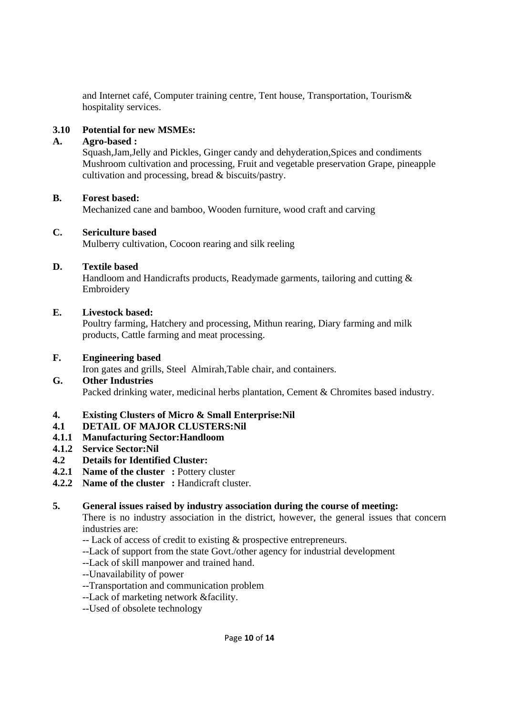and Internet café, Computer training centre, Tent house, Transportation, Tourism& hospitality services.

## **3.10 Potential for new MSMEs:**

## **A. Agro-based :**

Squash,Jam,Jelly and Pickles, Ginger candy and dehyderation,Spices and condiments Mushroom cultivation and processing, Fruit and vegetable preservation Grape, pineapple cultivation and processing, bread & biscuits/pastry.

## **B. Forest based:**

Mechanized cane and bamboo, Wooden furniture, wood craft and carving

### **C. Sericulture based**

Mulberry cultivation, Cocoon rearing and silk reeling

## **D. Textile based**

Handloom and Handicrafts products, Readymade garments, tailoring and cutting & Embroidery

### **E. Livestock based:**

Poultry farming, Hatchery and processing, Mithun rearing, Diary farming and milk products, Cattle farming and meat processing.

## **F. Engineering based**

Iron gates and grills, Steel Almirah,Table chair, and containers.

## **G. Other Industries**

Packed drinking water, medicinal herbs plantation, Cement & Chromites based industry.

## **4. Existing Clusters of Micro & Small Enterprise:Nil**

## **4.1 DETAIL OF MAJOR CLUSTERS:Nil**

## **4.1.1 Manufacturing Sector:Handloom**

#### **4.1.2 Service Sector:Nil**

## **4.2 Details for Identified Cluster:**

## **4.2.1 Name of the cluster : Pottery cluster**

## **4.2.2** Name of the cluster : Handicraft cluster.

## **5. General issues raised by industry association during the course of meeting:**

There is no industry association in the district, however, the general issues that concern industries are:

- -- Lack of access of credit to existing & prospective entrepreneurs.
- --Lack of support from the state Govt./other agency for industrial development
- --Lack of skill manpower and trained hand.
- --Unavailability of power
- --Transportation and communication problem
- --Lack of marketing network &facility.
- --Used of obsolete technology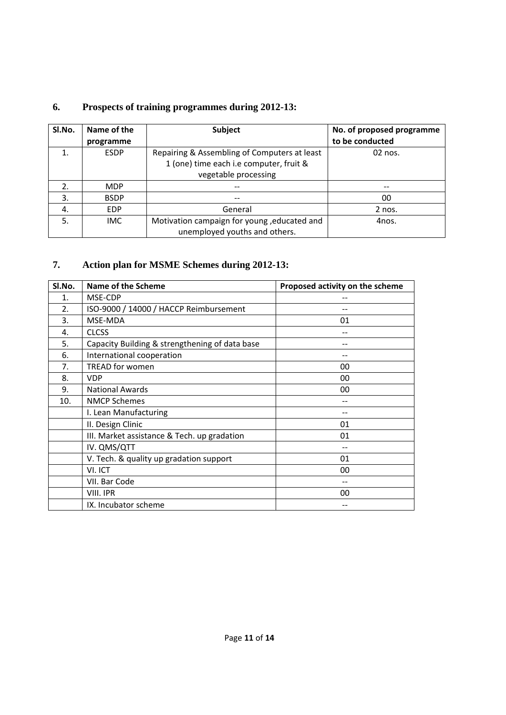## **6. Prospects of training programmes during 2012-13:**

| SI.No.           | Name of the<br>programme | <b>Subject</b>                               | No. of proposed programme<br>to be conducted |
|------------------|--------------------------|----------------------------------------------|----------------------------------------------|
|                  | <b>ESDP</b>              | Repairing & Assembling of Computers at least | 02 nos.                                      |
|                  |                          | 1 (one) time each i.e computer, fruit &      |                                              |
|                  |                          | vegetable processing                         |                                              |
| $\overline{2}$ . | <b>MDP</b>               |                                              |                                              |
| 3.               | <b>BSDP</b>              |                                              | 00                                           |
| 4.               | <b>EDP</b>               | General                                      | $2$ nos.                                     |
| 5.               | <b>IMC</b>               | Motivation campaign for young, educated and  | 4nos.                                        |
|                  |                          | unemployed youths and others.                |                                              |

## **7. Action plan for MSME Schemes during 2012-13:**

| SI.No. | Name of the Scheme                             | Proposed activity on the scheme |
|--------|------------------------------------------------|---------------------------------|
| 1.     | MSE-CDP                                        |                                 |
| 2.     | ISO-9000 / 14000 / HACCP Reimbursement         |                                 |
| 3.     | MSE-MDA                                        | 01                              |
| 4.     | <b>CLCSS</b>                                   |                                 |
| 5.     | Capacity Building & strengthening of data base |                                 |
| 6.     | International cooperation                      |                                 |
| 7.     | <b>TREAD for women</b>                         | 00                              |
| 8.     | <b>VDP</b>                                     | 00                              |
| 9.     | <b>National Awards</b>                         | 00                              |
| 10.    | <b>NMCP Schemes</b>                            |                                 |
|        | I. Lean Manufacturing                          |                                 |
|        | II. Design Clinic                              | 01                              |
|        | III. Market assistance & Tech. up gradation    | 01                              |
|        | IV. QMS/QTT                                    | --                              |
|        | V. Tech. & quality up gradation support        | 01                              |
|        | VI. ICT                                        | 00                              |
|        | VII. Bar Code                                  |                                 |
|        | VIII. IPR                                      | 00                              |
|        | IX. Incubator scheme                           |                                 |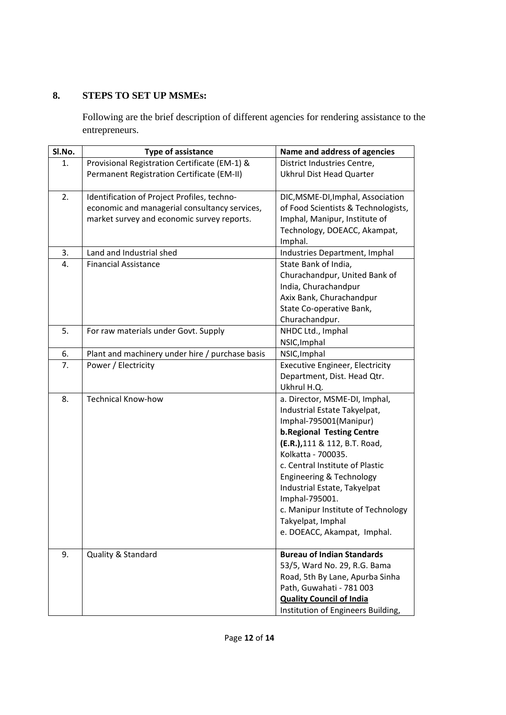## **8. STEPS TO SET UP MSMEs:**

Following are the brief description of different agencies for rendering assistance to the entrepreneurs.

| SI.No. | <b>Type of assistance</b>                                                                                                                  | Name and address of agencies                                                                                                                                                                                                                                                                                                                                                                  |
|--------|--------------------------------------------------------------------------------------------------------------------------------------------|-----------------------------------------------------------------------------------------------------------------------------------------------------------------------------------------------------------------------------------------------------------------------------------------------------------------------------------------------------------------------------------------------|
| 1.     | Provisional Registration Certificate (EM-1) &                                                                                              | District Industries Centre,                                                                                                                                                                                                                                                                                                                                                                   |
|        | Permanent Registration Certificate (EM-II)                                                                                                 | <b>Ukhrul Dist Head Quarter</b>                                                                                                                                                                                                                                                                                                                                                               |
| 2.     | Identification of Project Profiles, techno-<br>economic and managerial consultancy services,<br>market survey and economic survey reports. | DIC, MSME-DI, Imphal, Association<br>of Food Scientists & Technologists,<br>Imphal, Manipur, Institute of<br>Technology, DOEACC, Akampat,                                                                                                                                                                                                                                                     |
|        |                                                                                                                                            | Imphal.                                                                                                                                                                                                                                                                                                                                                                                       |
| 3.     | Land and Industrial shed<br><b>Financial Assistance</b>                                                                                    | Industries Department, Imphal                                                                                                                                                                                                                                                                                                                                                                 |
| 4.     |                                                                                                                                            | State Bank of India,<br>Churachandpur, United Bank of<br>India, Churachandpur<br>Axix Bank, Churachandpur<br>State Co-operative Bank,<br>Churachandpur.                                                                                                                                                                                                                                       |
| 5.     | For raw materials under Govt. Supply                                                                                                       | NHDC Ltd., Imphal<br>NSIC, Imphal                                                                                                                                                                                                                                                                                                                                                             |
| 6.     | Plant and machinery under hire / purchase basis                                                                                            | NSIC, Imphal                                                                                                                                                                                                                                                                                                                                                                                  |
| 7.     | Power / Electricity                                                                                                                        | <b>Executive Engineer, Electricity</b><br>Department, Dist. Head Qtr.<br>Ukhrul H.Q.                                                                                                                                                                                                                                                                                                          |
| 8.     | <b>Technical Know-how</b>                                                                                                                  | a. Director, MSME-DI, Imphal,<br>Industrial Estate Takyelpat,<br>Imphal-795001(Manipur)<br><b>b.Regional Testing Centre</b><br>(E.R.), 111 & 112, B.T. Road,<br>Kolkatta - 700035.<br>c. Central Institute of Plastic<br>Engineering & Technology<br>Industrial Estate, Takyelpat<br>Imphal-795001.<br>c. Manipur Institute of Technology<br>Takyelpat, Imphal<br>e. DOEACC, Akampat, Imphal. |
| 9.     | Quality & Standard                                                                                                                         | <b>Bureau of Indian Standards</b><br>53/5, Ward No. 29, R.G. Bama<br>Road, 5th By Lane, Apurba Sinha<br>Path, Guwahati - 781 003<br><b>Quality Council of India</b><br>Institution of Engineers Building,                                                                                                                                                                                     |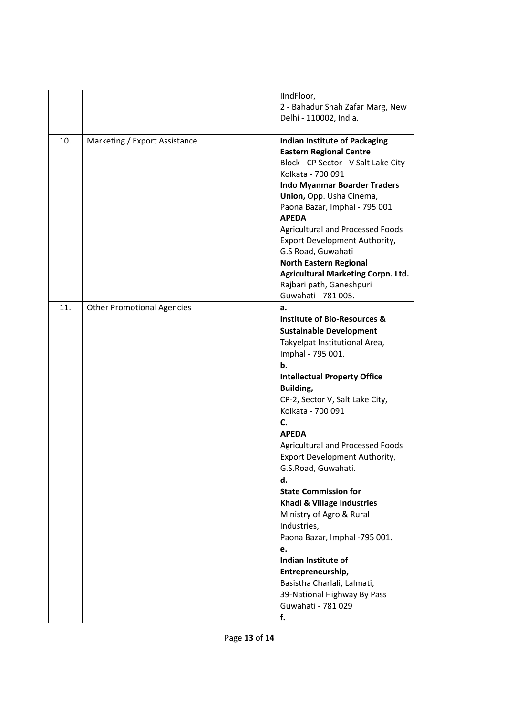|     |                                   | IIndFloor,<br>2 - Bahadur Shah Zafar Marg, New<br>Delhi - 110002, India.                                                                                                                                                                                                                                                                                                                                                                                                                                                                                                                                                                                                    |
|-----|-----------------------------------|-----------------------------------------------------------------------------------------------------------------------------------------------------------------------------------------------------------------------------------------------------------------------------------------------------------------------------------------------------------------------------------------------------------------------------------------------------------------------------------------------------------------------------------------------------------------------------------------------------------------------------------------------------------------------------|
| 10. | Marketing / Export Assistance     | <b>Indian Institute of Packaging</b><br><b>Eastern Regional Centre</b><br>Block - CP Sector - V Salt Lake City<br>Kolkata - 700 091<br><b>Indo Myanmar Boarder Traders</b><br>Union, Opp. Usha Cinema,<br>Paona Bazar, Imphal - 795 001<br><b>APEDA</b><br><b>Agricultural and Processed Foods</b><br>Export Development Authority,<br>G.S Road, Guwahati<br><b>North Eastern Regional</b><br><b>Agricultural Marketing Corpn. Ltd.</b><br>Rajbari path, Ganeshpuri<br>Guwahati - 781 005.                                                                                                                                                                                  |
| 11. | <b>Other Promotional Agencies</b> | a.<br><b>Institute of Bio-Resources &amp;</b><br><b>Sustainable Development</b><br>Takyelpat Institutional Area,<br>Imphal - 795 001.<br>b.<br><b>Intellectual Property Office</b><br>Building,<br>CP-2, Sector V, Salt Lake City,<br>Kolkata - 700 091<br>C.<br><b>APEDA</b><br><b>Agricultural and Processed Foods</b><br>Export Development Authority,<br>G.S.Road, Guwahati.<br>d.<br><b>State Commission for</b><br>Khadi & Village Industries<br>Ministry of Agro & Rural<br>Industries,<br>Paona Bazar, Imphal -795 001.<br>e.<br>Indian Institute of<br>Entrepreneurship,<br>Basistha Charlali, Lalmati,<br>39-National Highway By Pass<br>Guwahati - 781 029<br>f. |